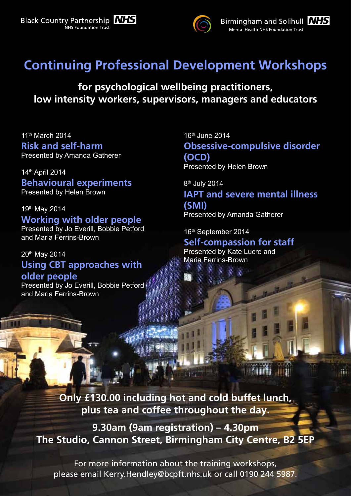



## **Continuing Professional Development Workshops**

**for psychological wellbeing practitioners, low intensity workers, supervisors, managers and educators**

11<sup>th</sup> March 2014 **Risk and self-harm** Presented by Amanda Gatherer

14th April 2014 **Behavioural experiments** Presented by Helen Brown

## 19th May 2014

**Working with older people** Presented by Jo Everill, Bobbie Petford and Maria Ferrins-Brown

## 20th May 2014 **Using CBT approaches with older people**

Presented by Jo Everill, Bobbie Petford and Maria Ferrins-Brown

16th June 2014 **Obsessive-compulsive disorder (OCD)** Presented by Helen Brown

8<sup>th</sup> July 2014

**IAPT and severe mental illness (SMI)** Presented by Amanda Gatherer

16th September 2014

**Self-compassion for staff** Presented by Kate Lucre and Maria Ferrins-Brown

**Only £130.00 including hot and cold buffet lunch, plus tea and coffee throughout the day.**

**9.30am (9am registration) – 4.30pm The Studio, Cannon Street, Birmingham City Centre, B2 5EP**

For more information about the training workshops, please email Kerry.Hendley@bcpft.nhs.uk or call 0190 244 5987.